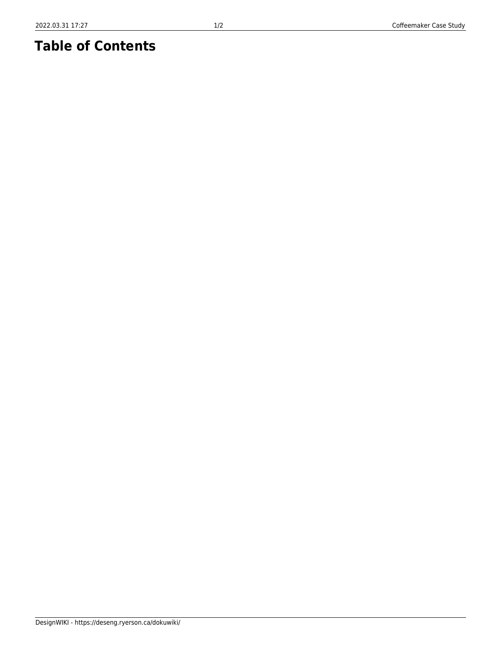## **Table of Contents**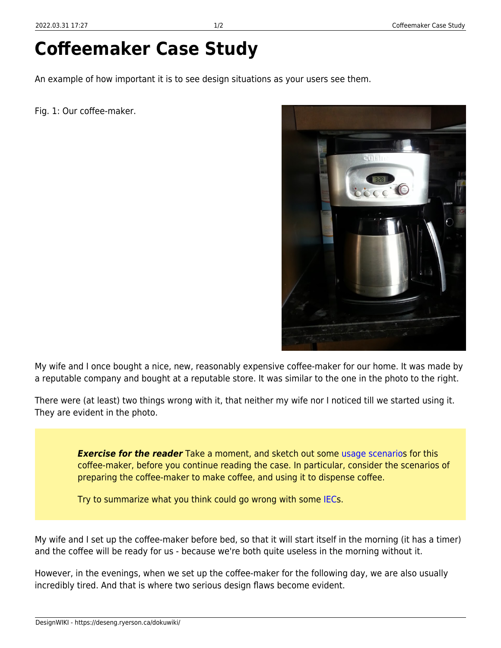## **Coffeemaker Case Study**

An example of how important it is to see design situations as your users see them.

Fig. 1: Our coffee-maker.



My wife and I once bought a nice, new, reasonably expensive coffee-maker for our home. It was made by a reputable company and bought at a reputable store. It was similar to the one in the photo to the right.

There were (at least) two things wrong with it, that neither my wife nor I noticed till we started using it. They are evident in the photo.

> *Exercise for the reader* Take a moment, and sketch out some [usage scenario](https://deseng.ryerson.ca/dokuwiki/design:usage_scenario)s for this coffee-maker, before you continue reading the case. In particular, consider the scenarios of preparing the coffee-maker to make coffee, and using it to dispense coffee.

Try to summarize what you think could go wrong with some [IECs](https://deseng.ryerson.ca/dokuwiki/design:iec).

My wife and I set up the coffee-maker before bed, so that it will start itself in the morning (it has a timer) and the coffee will be ready for us - because we're both quite useless in the morning without it.

However, in the evenings, when we set up the coffee-maker for the following day, we are also usually incredibly tired. And that is where two serious design flaws become evident.